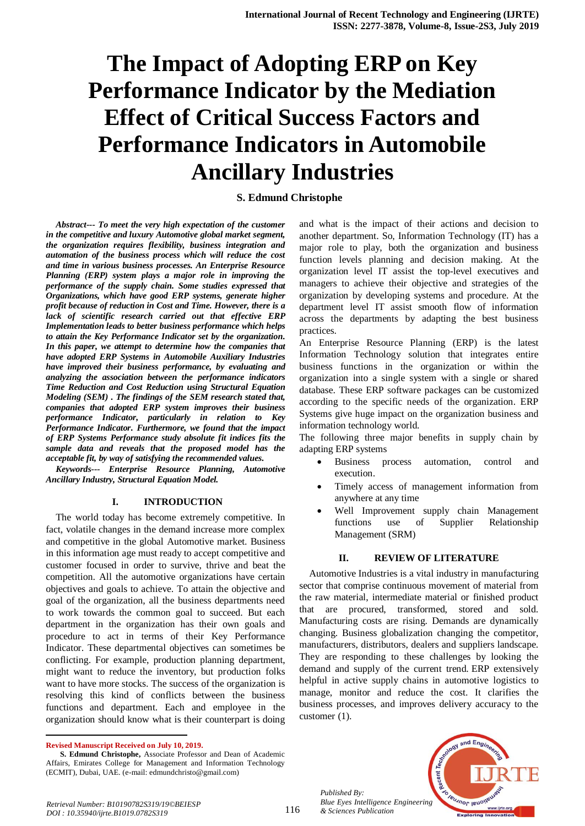# **The Impact of Adopting ERP on Key Performance Indicator by the Mediation Effect of Critical Success Factors and Performance Indicators in Automobile Ancillary Industries**

# **S. Edmund Christophe**

*Abstract--- To meet the very high expectation of the customer in the competitive and luxury Automotive global market segment, the organization requires flexibility, business integration and automation of the business process which will reduce the cost and time in various business processes. An Enterprise Resource Planning (ERP) system plays a major role in improving the performance of the supply chain. Some studies expressed that Organizations, which have good ERP systems, generate higher profit because of reduction in Cost and Time. However, there is a lack of scientific research carried out that effective ERP Implementation leads to better business performance which helps to attain the Key Performance Indicator set by the organization. In this paper, we attempt to determine how the companies that have adopted ERP Systems in Automobile Auxiliary Industries have improved their business performance, by evaluating and analyzing the association between the performance indicators Time Reduction and Cost Reduction using Structural Equation Modeling (SEM) . The findings of the SEM research stated that, companies that adopted ERP system improves their business performance Indicator, particularly in relation to Key Performance Indicator. Furthermore, we found that the impact of ERP Systems Performance study absolute fit indices fits the sample data and reveals that the proposed model has the acceptable fit, by way of satisfying the recommended values.*

*Keywords--- Enterprise Resource Planning, Automotive Ancillary Industry, Structural Equation Model.*

#### **I. INTRODUCTION**

The world today has become extremely competitive. In fact, volatile changes in the demand increase more complex and competitive in the global Automotive market. Business in this information age must ready to accept competitive and customer focused in order to survive, thrive and beat the competition. All the automotive organizations have certain objectives and goals to achieve. To attain the objective and goal of the organization, all the business departments need to work towards the common goal to succeed. But each department in the organization has their own goals and procedure to act in terms of their Key Performance Indicator. These departmental objectives can sometimes be conflicting. For example, production planning department, might want to reduce the inventory, but production folks want to have more stocks. The success of the organization is resolving this kind of conflicts between the business functions and department. Each and employee in the organization should know what is their counterpart is doing

**Revised Manuscript Received on July 10, 2019.**

 $\ddot{\phantom{a}}$ 

and what is the impact of their actions and decision to another department. So, Information Technology (IT) has a major role to play, both the organization and business function levels planning and decision making. At the organization level IT assist the top-level executives and managers to achieve their objective and strategies of the organization by developing systems and procedure. At the department level IT assist smooth flow of information across the departments by adapting the best business practices.

An Enterprise Resource Planning (ERP) is the latest Information Technology solution that integrates entire business functions in the organization or within the organization into a single system with a single or shared database. These ERP software packages can be customized according to the specific needs of the organization. ERP Systems give huge impact on the organization business and information technology world.

The following three major benefits in supply chain by adapting ERP systems

- Business process automation, control and execution.
- Timely access of management information from anywhere at any time
- Well Improvement supply chain Management functions use of Supplier Relationship Management (SRM)

#### **II. REVIEW OF LITERATURE**

Automotive Industries is a vital industry in manufacturing sector that comprise continuous movement of material from the raw material, intermediate material or finished product that are procured, transformed, stored and sold. Manufacturing costs are rising. Demands are dynamically changing. Business globalization changing the competitor, manufacturers, distributors, dealers and suppliers landscape. They are responding to these challenges by looking the demand and supply of the current trend. ERP extensively helpful in active supply chains in automotive logistics to manage, monitor and reduce the cost. It clarifies the business processes, and improves delivery accuracy to the customer (1).

*Published By: Blue Eyes Intelligence Engineering & Sciences Publication* 



**S. Edmund Christophe,** Associate Professor and Dean of Academic Affairs, Emirates College for Management and Information Technology (ECMIT), Dubai, UAE. (e-mail: edmundchristo@gmail.com)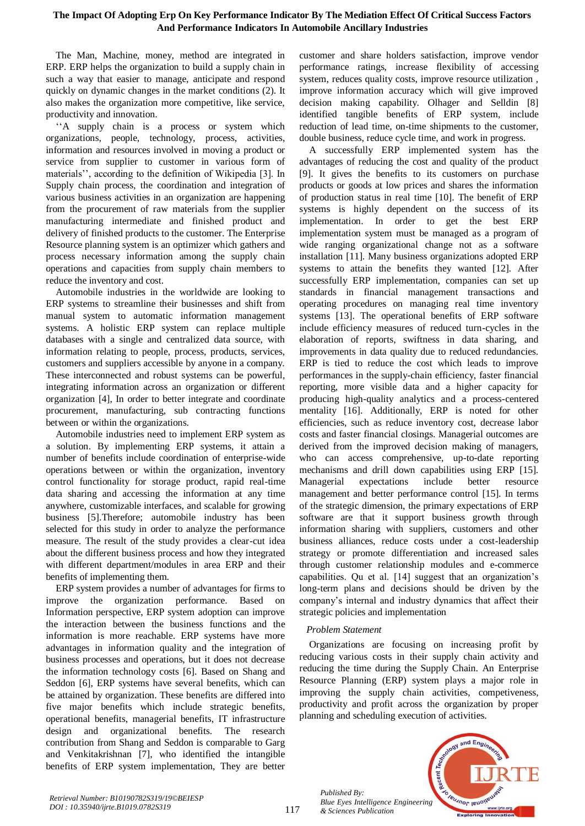# **The Impact Of Adopting Erp On Key Performance Indicator By The Mediation Effect Of Critical Success Factors And Performance Indicators In Automobile Ancillary Industries**

The Man, Machine, money, method are integrated in ERP. ERP helps the organization to build a supply chain in such a way that easier to manage, anticipate and respond quickly on dynamic changes in the market conditions (2). It also makes the organization more competitive, like service, productivity and innovation.

''A supply chain is a process or system which organizations, people, technology, process, activities, information and resources involved in moving a product or service from supplier to customer in various form of materials'', according to the definition of Wikipedia [3]. In Supply chain process, the coordination and integration of various business activities in an organization are happening from the procurement of raw materials from the supplier manufacturing intermediate and finished product and delivery of finished products to the customer. The Enterprise Resource planning system is an optimizer which gathers and process necessary information among the supply chain operations and capacities from supply chain members to reduce the inventory and cost.

Automobile industries in the worldwide are looking to ERP systems to streamline their businesses and shift from manual system to automatic information management systems. A holistic ERP system can replace multiple databases with a single and centralized data source, with information relating to people, process, products, services, customers and suppliers accessible by anyone in a company. These interconnected and robust systems can be powerful, integrating information across an organization or different organization [4], In order to better integrate and coordinate procurement, manufacturing, sub contracting functions between or within the organizations.

Automobile industries need to implement ERP system as a solution. By implementing ERP systems, it attain a number of benefits include coordination of enterprise-wide operations between or within the organization, inventory control functionality for storage product, rapid real-time data sharing and accessing the information at any time anywhere, customizable interfaces, and scalable for growing business [5].Therefore; automobile industry has been selected for this study in order to analyze the performance measure. The result of the study provides a clear-cut idea about the different business process and how they integrated with different department/modules in area ERP and their benefits of implementing them.

ERP system provides a number of advantages for firms to improve the organization performance. Based on Information perspective, ERP system adoption can improve the interaction between the business functions and the information is more reachable. ERP systems have more advantages in information quality and the integration of business processes and operations, but it does not decrease the information technology costs [6]. Based on Shang and Seddon [6], ERP systems have several benefits, which can be attained by organization. These benefits are differed into five major benefits which include strategic benefits, operational benefits, managerial benefits, IT infrastructure design and organizational benefits. The research contribution from Shang and Seddon is comparable to Garg and Venkitakrishnan [7], who identified the intangible benefits of ERP system implementation, They are better customer and share holders satisfaction, improve vendor performance ratings, increase flexibility of accessing system, reduces quality costs, improve resource utilization , improve information accuracy which will give improved decision making capability. Olhager and Selldin [8] identified tangible benefits of ERP system, include reduction of lead time, on-time shipments to the customer, double business, reduce cycle time, and work in progress.

A successfully ERP implemented system has the advantages of reducing the cost and quality of the product [9]. It gives the benefits to its customers on purchase products or goods at low prices and shares the information of production status in real time [10]. The benefit of ERP systems is highly dependent on the success of its implementation. In order to get the best ERP implementation system must be managed as a program of wide ranging organizational change not as a software installation [11]. Many business organizations adopted ERP systems to attain the benefits they wanted [12]. After successfully ERP implementation, companies can set up standards in financial management transactions and operating procedures on managing real time inventory systems [13]. The operational benefits of ERP software include efficiency measures of reduced turn-cycles in the elaboration of reports, swiftness in data sharing, and improvements in data quality due to reduced redundancies. ERP is tied to reduce the cost which leads to improve performances in the supply-chain efficiency, faster financial reporting, more visible data and a higher capacity for producing high-quality analytics and a process-centered mentality [16]. Additionally, ERP is noted for other efficiencies, such as reduce inventory cost, decrease labor costs and faster financial closings. Managerial outcomes are derived from the improved decision making of managers, who can access comprehensive, up-to-date reporting mechanisms and drill down capabilities using ERP [15]. Managerial expectations include better resource management and better performance control [15]. In terms of the strategic dimension, the primary expectations of ERP software are that it support business growth through information sharing with suppliers, customers and other business alliances, reduce costs under a cost-leadership strategy or promote differentiation and increased sales through customer relationship modules and e-commerce capabilities. Qu et al. [14] suggest that an organization's long-term plans and decisions should be driven by the company's internal and industry dynamics that affect their strategic policies and implementation

## *Problem Statement*

*Published By:*

*& Sciences Publication* 

Organizations are focusing on increasing profit by reducing various costs in their supply chain activity and reducing the time during the Supply Chain. An Enterprise Resource Planning (ERP) system plays a major role in improving the supply chain activities, competiveness, productivity and profit across the organization by proper planning and scheduling execution of activities.

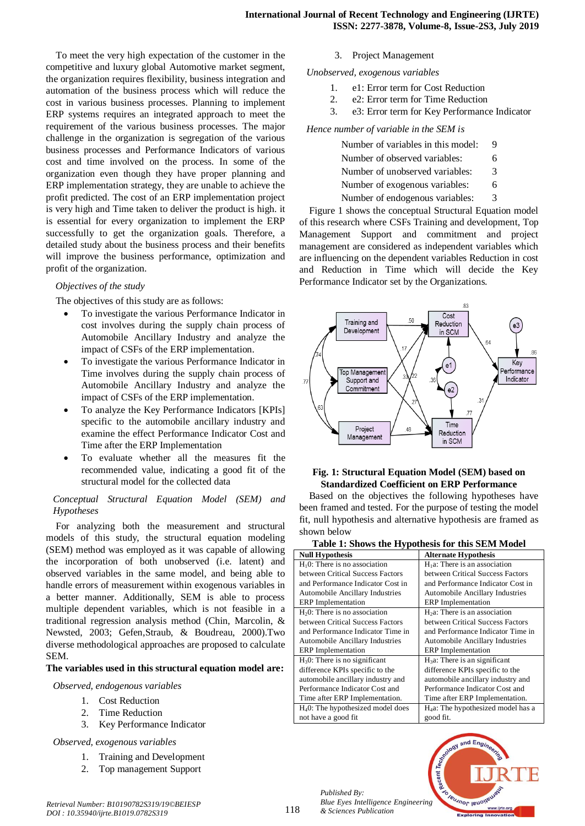To meet the very high expectation of the customer in the competitive and luxury global Automotive market segment, the organization requires flexibility, business integration and automation of the business process which will reduce the cost in various business processes. Planning to implement ERP systems requires an integrated approach to meet the requirement of the various business processes. The major challenge in the organization is segregation of the various business processes and Performance Indicators of various cost and time involved on the process. In some of the organization even though they have proper planning and ERP implementation strategy, they are unable to achieve the profit predicted. The cost of an ERP implementation project is very high and Time taken to deliver the product is high. it is essential for every organization to implement the ERP successfully to get the organization goals. Therefore, a detailed study about the business process and their benefits will improve the business performance, optimization and profit of the organization.

#### *Objectives of the study*

The objectives of this study are as follows:

- To investigate the various Performance Indicator in cost involves during the supply chain process of Automobile Ancillary Industry and analyze the impact of CSFs of the ERP implementation.
- To investigate the various Performance Indicator in Time involves during the supply chain process of Automobile Ancillary Industry and analyze the impact of CSFs of the ERP implementation.
- To analyze the Key Performance Indicators [KPIs] specific to the automobile ancillary industry and examine the effect Performance Indicator Cost and Time after the ERP Implementation
- To evaluate whether all the measures fit the recommended value, indicating a good fit of the structural model for the collected data

# *Conceptual Structural Equation Model (SEM) and Hypotheses*

For analyzing both the measurement and structural models of this study, the structural equation modeling (SEM) method was employed as it was capable of allowing the incorporation of both unobserved (i.e. latent) and observed variables in the same model, and being able to handle errors of measurement within exogenous variables in a better manner. Additionally, SEM is able to process multiple dependent variables, which is not feasible in a traditional regression analysis method (Chin, Marcolin, & Newsted, 2003; Gefen,Straub, & Boudreau, 2000).Two diverse methodological approaches are proposed to calculate SEM.

## **The variables used in this structural equation model are:**

#### *Observed, endogenous variables*

- 1. Cost Reduction
- 2. Time Reduction
- 3. Key Performance Indicator

#### *Observed, exogenous variables*

- 1. Training and Development
- 2. Top management Support

## 3. Project Management

*Unobserved, exogenous variables*

- 1. e1: Error term for Cost Reduction
- 2. e2: Error term for Time Reduction
- 3. e3: Error term for Key Performance Indicator

## *Hence number of variable in the SEM is*

| Number of variables in this model: | 9 |
|------------------------------------|---|
| Number of observed variables:      | 6 |
| Number of unobserved variables:    | 3 |
| Number of exogenous variables:     | 6 |
| Number of endogenous variables:    | 3 |

Figure 1 shows the conceptual Structural Equation model of this research where CSFs Training and development, Top Management Support and commitment and project management are considered as independent variables which are influencing on the dependent variables Reduction in cost and Reduction in Time which will decide the Key Performance Indicator set by the Organizations.



## **Fig. 1: Structural Equation Model (SEM) based on Standardized Coefficient on ERP Performance**

Based on the objectives the following hypotheses have been framed and tested. For the purpose of testing the model fit, null hypothesis and alternative hypothesis are framed as shown below

#### **Table 1: Shows the Hypothesis for this SEM Model**

| υr                                  |                                                |
|-------------------------------------|------------------------------------------------|
| <b>Null Hypothesis</b>              | <b>Alternate Hypothesis</b>                    |
| $H_10$ : There is no association    | $H1a$ : There is an association                |
| between Critical Success Factors    | between Critical Success Factors               |
| and Performance Indicator Cost in   | and Performance Indicator Cost in              |
| Automobile Ancillary Industries     | Automobile Ancillary Industries                |
| <b>ERP</b> Implementation           | <b>ERP</b> Implementation                      |
| $H20$ : There is no association     | $H2a$ : There is an association                |
| between Critical Success Factors    | between Critical Success Factors               |
| and Performance Indicator Time in   | and Performance Indicator Time in              |
| Automobile Ancillary Industries     | Automobile Ancillary Industries                |
| <b>ERP</b> Implementation           | <b>ERP</b> Implementation                      |
| $H_30$ : There is no significant    | $H3a$ : There is an significant                |
| difference KPIs specific to the     | difference KPIs specific to the                |
| automobile ancillary industry and   | automobile ancillary industry and              |
| Performance Indicator Cost and      | Performance Indicator Cost and                 |
| Time after ERP Implementation.      | Time after ERP Implementation.                 |
| $H40$ : The hypothesized model does | H <sub>4</sub> a: The hypothesized model has a |
| not have a good fit                 | good fit.                                      |

*Published By: Blue Eyes Intelligence Engineering & Sciences Publication* 

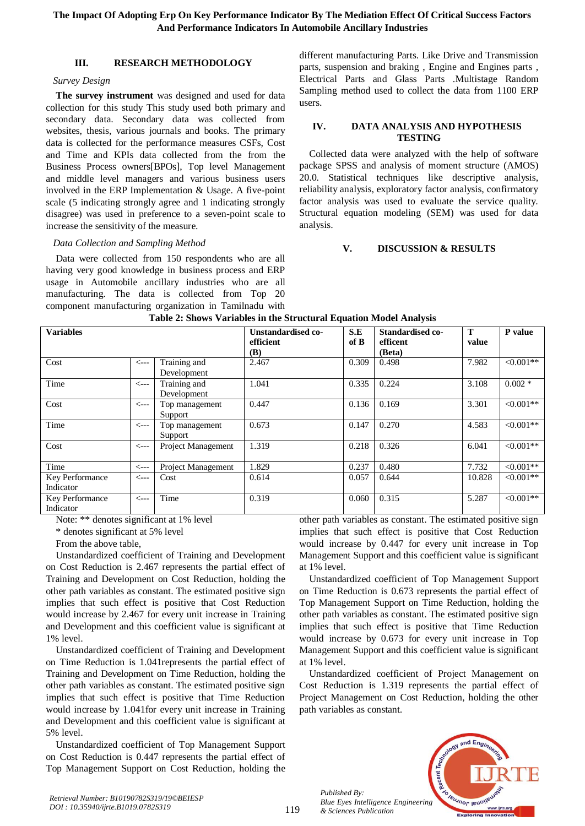# **III. RESEARCH METHODOLOGY**

## *Survey Design*

**The survey instrument** was designed and used for data collection for this study This study used both primary and secondary data. Secondary data was collected from websites, thesis, various journals and books. The primary data is collected for the performance measures CSFs, Cost and Time and KPIs data collected from the from the Business Process owners[BPOs], Top level Management and middle level managers and various business users involved in the ERP Implementation & Usage. A five-point scale (5 indicating strongly agree and 1 indicating strongly disagree) was used in preference to a seven-point scale to increase the sensitivity of the measure.

## *Data Collection and Sampling Method*

Data were collected from 150 respondents who are all having very good knowledge in business process and ERP usage in Automobile ancillary industries who are all manufacturing. The data is collected from Top 20 component manufacturing organization in Tamilnadu with different manufacturing Parts. Like Drive and Transmission parts, suspension and braking , Engine and Engines parts , Electrical Parts and Glass Parts .Multistage Random Sampling method used to collect the data from 1100 ERP users.

#### **IV. DATA ANALYSIS AND HYPOTHESIS TESTING**

Collected data were analyzed with the help of software package SPSS and analysis of moment structure (AMOS) 20.0. Statistical techniques like descriptive analysis, reliability analysis, exploratory factor analysis, confirmatory factor analysis was used to evaluate the service quality. Structural equation modeling (SEM) was used for data analysis.

## **V. DISCUSSION & RESULTS**

| Table 2: Shows Variables in the Structural Equation Model Analysis |                 |                             |                                        |             |                                        |            |            |
|--------------------------------------------------------------------|-----------------|-----------------------------|----------------------------------------|-------------|----------------------------------------|------------|------------|
| <b>Variables</b>                                                   |                 |                             | Unstandardised co-<br>efficient<br>(B) | S.E<br>of B | Standardised co-<br>efficent<br>(Beta) | T<br>value | P value    |
| Cost                                                               | <---            | Training and<br>Development | 2.467                                  | 0.309       | 0.498                                  | 7.982      | $<0.001**$ |
| Time                                                               | $\leftarrow$ -- | Training and<br>Development | 1.041                                  | 0.335       | 0.224                                  | 3.108      | $0.002 *$  |
| Cost                                                               | $\leftarrow$ -- | Top management<br>Support   | 0.447                                  | 0.136       | 0.169                                  | 3.301      | $<0.001**$ |
| Time                                                               | <---            | Top management<br>Support   | 0.673                                  | 0.147       | 0.270                                  | 4.583      | $<0.001**$ |
| Cost                                                               | <---            | Project Management          | 1.319                                  | 0.218       | 0.326                                  | 6.041      | $<0.001**$ |
| Time                                                               | <---            | <b>Project Management</b>   | 1.829                                  | 0.237       | 0.480                                  | 7.732      | $<0.001**$ |
| Key Performance<br>Indicator                                       | <---            | Cost                        | 0.614                                  | 0.057       | 0.644                                  | 10.828     | $<0.001**$ |
| Key Performance<br>Indicator                                       | <---            | Time                        | 0.319                                  | 0.060       | 0.315                                  | 5.287      | $<0.001**$ |

# **Table 2: Shows Variables in the Structural Equation Model Analysis**

Note: \*\* denotes significant at 1% level

\* denotes significant at 5% level

From the above table,

Unstandardized coefficient of Training and Development on Cost Reduction is 2.467 represents the partial effect of Training and Development on Cost Reduction, holding the other path variables as constant. The estimated positive sign implies that such effect is positive that Cost Reduction would increase by 2.467 for every unit increase in Training and Development and this coefficient value is significant at 1% level.

Unstandardized coefficient of Training and Development on Time Reduction is 1.041represents the partial effect of Training and Development on Time Reduction, holding the other path variables as constant. The estimated positive sign implies that such effect is positive that Time Reduction would increase by 1.041for every unit increase in Training and Development and this coefficient value is significant at 5% level.

Unstandardized coefficient of Top Management Support on Cost Reduction is 0.447 represents the partial effect of Top Management Support on Cost Reduction, holding the other path variables as constant. The estimated positive sign implies that such effect is positive that Cost Reduction would increase by 0.447 for every unit increase in Top Management Support and this coefficient value is significant at 1% level.

Unstandardized coefficient of Top Management Support on Time Reduction is 0.673 represents the partial effect of Top Management Support on Time Reduction, holding the other path variables as constant. The estimated positive sign implies that such effect is positive that Time Reduction would increase by 0.673 for every unit increase in Top Management Support and this coefficient value is significant at 1% level.

Unstandardized coefficient of Project Management on Cost Reduction is 1.319 represents the partial effect of Project Management on Cost Reduction, holding the other path variables as constant.



119

*Published By:*

*& Sciences Publication*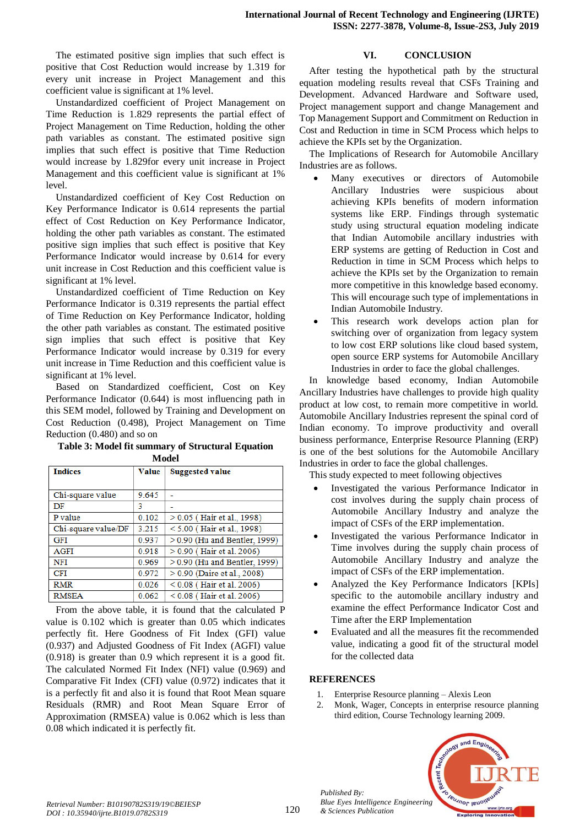The estimated positive sign implies that such effect is positive that Cost Reduction would increase by 1.319 for every unit increase in Project Management and this coefficient value is significant at 1% level.

Unstandardized coefficient of Project Management on Time Reduction is 1.829 represents the partial effect of Project Management on Time Reduction, holding the other path variables as constant. The estimated positive sign implies that such effect is positive that Time Reduction would increase by 1.829for every unit increase in Project Management and this coefficient value is significant at 1% level.

Unstandardized coefficient of Key Cost Reduction on Key Performance Indicator is 0.614 represents the partial effect of Cost Reduction on Key Performance Indicator, holding the other path variables as constant. The estimated positive sign implies that such effect is positive that Key Performance Indicator would increase by 0.614 for every unit increase in Cost Reduction and this coefficient value is significant at 1% level.

Unstandardized coefficient of Time Reduction on Key Performance Indicator is 0.319 represents the partial effect of Time Reduction on Key Performance Indicator, holding the other path variables as constant. The estimated positive sign implies that such effect is positive that Key Performance Indicator would increase by 0.319 for every unit increase in Time Reduction and this coefficient value is significant at 1% level.

Based on Standardized coefficient, Cost on Key Performance Indicator (0.644) is most influencing path in this SEM model, followed by Training and Development on Cost Reduction (0.498), Project Management on Time Reduction (0.480) and so on

**Table 3: Model fit summary of Structural Equation Model**

| <b>Indices</b>      | <b>Value</b> | <b>Suggested value</b>         |
|---------------------|--------------|--------------------------------|
|                     |              |                                |
| Chi-square value    | 9.645        |                                |
| DF                  | 3            |                                |
| P value             | 0.102        | $> 0.05$ (Hair et al., 1998)   |
| Chi-square value/DF | 3.215        | $< 5.00$ (Hair et al., 1998)   |
| <b>GFI</b>          | 0.937        | $>0.90$ (Hu and Bentler, 1999) |
| <b>AGFI</b>         | 0.918        | $> 0.90$ (Hair et al. 2006)    |
| <b>NFI</b>          | 0.969        | $>0.90$ (Hu and Bentler, 1999) |
| CFI                 | 0.972        | > 0.90 (Daire et al., 2008)    |
| <b>RMR</b>          | 0.026        | $< 0.08$ (Hair et al. 2006)    |
| <b>RMSEA</b>        | 0.062        | $< 0.08$ (Hair et al. 2006)    |

From the above table, it is found that the calculated P value is 0.102 which is greater than 0.05 which indicates perfectly fit. Here Goodness of Fit Index (GFI) value (0.937) and Adjusted Goodness of Fit Index (AGFI) value (0.918) is greater than 0.9 which represent it is a good fit. The calculated Normed Fit Index (NFI) value (0.969) and Comparative Fit Index (CFI) value (0.972) indicates that it is a perfectly fit and also it is found that Root Mean square Residuals (RMR) and Root Mean Square Error of Approximation (RMSEA) value is 0.062 which is less than 0.08 which indicated it is perfectly fit.

# **VI. CONCLUSION**

After testing the hypothetical path by the structural equation modeling results reveal that CSFs Training and Development. Advanced Hardware and Software used, Project management support and change Management and Top Management Support and Commitment on Reduction in Cost and Reduction in time in SCM Process which helps to achieve the KPIs set by the Organization.

The Implications of Research for Automobile Ancillary Industries are as follows.

- Many executives or directors of Automobile Ancillary Industries were suspicious about achieving KPIs benefits of modern information systems like ERP. Findings through systematic study using structural equation modeling indicate that Indian Automobile ancillary industries with ERP systems are getting of Reduction in Cost and Reduction in time in SCM Process which helps to achieve the KPIs set by the Organization to remain more competitive in this knowledge based economy. This will encourage such type of implementations in Indian Automobile Industry.
- This research work develops action plan for switching over of organization from legacy system to low cost ERP solutions like cloud based system, open source ERP systems for Automobile Ancillary Industries in order to face the global challenges.

In knowledge based economy, Indian Automobile Ancillary Industries have challenges to provide high quality product at low cost, to remain more competitive in world. Automobile Ancillary Industries represent the spinal cord of Indian economy. To improve productivity and overall business performance, Enterprise Resource Planning (ERP) is one of the best solutions for the Automobile Ancillary Industries in order to face the global challenges.

This study expected to meet following objectives

- Investigated the various Performance Indicator in cost involves during the supply chain process of Automobile Ancillary Industry and analyze the impact of CSFs of the ERP implementation.
- Investigated the various Performance Indicator in Time involves during the supply chain process of Automobile Ancillary Industry and analyze the impact of CSFs of the ERP implementation.
- Analyzed the Key Performance Indicators [KPIs] specific to the automobile ancillary industry and examine the effect Performance Indicator Cost and Time after the ERP Implementation
- Evaluated and all the measures fit the recommended value, indicating a good fit of the structural model for the collected data

# **REFERENCES**

*Published By:*

*& Sciences Publication* 

- 1. Enterprise Resource planning Alexis Leon
- 2. Monk, Wager, Concepts in enterprise resource planning third edition, Course Technology learning 2009.